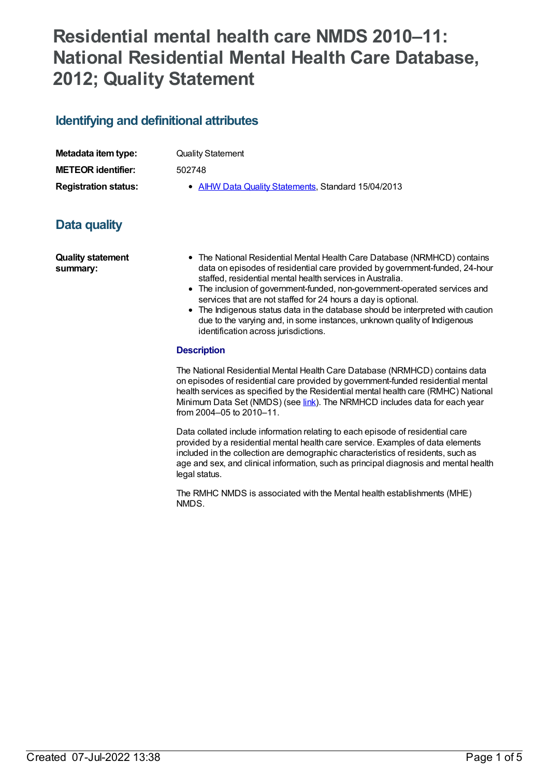# **Residential mental health care NMDS 2010–11: National Residential Mental Health Care Database, 2012; Quality Statement**

## **Identifying and definitional attributes**

| Metadata item type:         | <b>Quality Statement</b>                            |
|-----------------------------|-----------------------------------------------------|
| <b>METEOR identifier:</b>   | 502748                                              |
| <b>Registration status:</b> | • AIHW Data Quality Statements, Standard 15/04/2013 |

# **Data quality**

**Quality statement summary:**

- The National Residential Mental Health Care Database (NRMHCD) contains data on episodes of residential care provided by government-funded, 24-hour staffed, residential mental health services in Australia.
- The inclusion of government-funded, non-government-operated services and services that are not staffed for 24 hours a day is optional.
- The Indigenous status data in the database should be interpreted with caution due to the varying and, in some instances, unknown quality of Indigenous identification across jurisdictions.

#### **Description**

The National Residential Mental Health Care Database (NRMHCD) contains data on episodes of residential care provided by government-funded residential mental health services as specified by the Residential mental health care (RMHC) National Minimum Data Set (NMDS) (see [link](file:///content/386809)). The NRMHCD includes data for each year from 2004–05 to 2010–11.

Data collated include information relating to each episode of residential care provided by a residential mental health care service. Examples of data elements included in the collection are demographic characteristics of residents, such as age and sex, and clinical information, such as principal diagnosis and mental health legal status.

The RMHC NMDS is associated with the Mental health establishments (MHE) NMDS.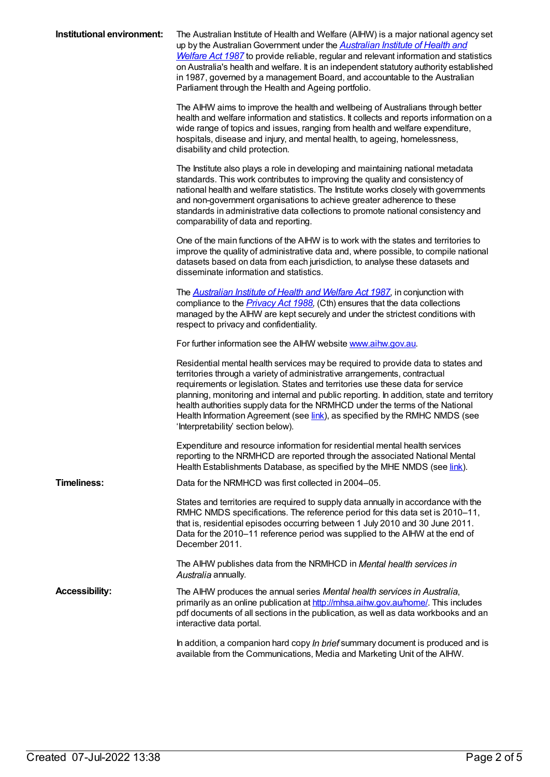| Institutional environment: | The Australian Institute of Health and Welfare (AIHW) is a major national agency set<br>up by the Australian Government under the <b>Australian Institute of Health and</b><br>Welfare Act 1987 to provide reliable, regular and relevant information and statistics<br>on Australia's health and welfare. It is an independent statutory authority established<br>in 1987, governed by a management Board, and accountable to the Australian<br>Parliament through the Health and Ageing portfolio.                                              |
|----------------------------|---------------------------------------------------------------------------------------------------------------------------------------------------------------------------------------------------------------------------------------------------------------------------------------------------------------------------------------------------------------------------------------------------------------------------------------------------------------------------------------------------------------------------------------------------|
|                            | The AIHW aims to improve the health and wellbeing of Australians through better<br>health and welfare information and statistics. It collects and reports information on a<br>wide range of topics and issues, ranging from health and welfare expenditure,<br>hospitals, disease and injury, and mental health, to ageing, homelessness,<br>disability and child protection.                                                                                                                                                                     |
|                            | The Institute also plays a role in developing and maintaining national metadata<br>standards. This work contributes to improving the quality and consistency of<br>national health and welfare statistics. The Institute works closely with governments<br>and non-government organisations to achieve greater adherence to these<br>standards in administrative data collections to promote national consistency and<br>comparability of data and reporting.                                                                                     |
|                            | One of the main functions of the AIHW is to work with the states and territories to<br>improve the quality of administrative data and, where possible, to compile national<br>datasets based on data from each jurisdiction, to analyse these datasets and<br>disseminate information and statistics.                                                                                                                                                                                                                                             |
|                            | The <b>Australian Institute of Health and Welfare Act 1987</b> , in conjunction with<br>compliance to the <i>Privacy Act 1988</i> , (Cth) ensures that the data collections<br>managed by the AIHW are kept securely and under the strictest conditions with<br>respect to privacy and confidentiality.                                                                                                                                                                                                                                           |
|                            | For further information see the AIHW website www.aihw.gov.au.                                                                                                                                                                                                                                                                                                                                                                                                                                                                                     |
|                            | Residential mental health services may be required to provide data to states and<br>territories through a variety of administrative arrangements, contractual<br>requirements or legislation. States and territories use these data for service<br>planning, monitoring and internal and public reporting. In addition, state and territory<br>health authorities supply data for the NRMHCD under the terms of the National<br>Health Information Agreement (see link), as specified by the RMHC NMDS (see<br>'Interpretability' section below). |
|                            | Expenditure and resource information for residential mental health services<br>reporting to the NRMHCD are reported through the associated National Mental<br>Health Establishments Database, as specified by the MHE NMDS (see link).                                                                                                                                                                                                                                                                                                            |
| <b>Timeliness:</b>         | Data for the NRMHCD was first collected in 2004–05.                                                                                                                                                                                                                                                                                                                                                                                                                                                                                               |
|                            | States and territories are required to supply data annually in accordance with the<br>RMHC NMDS specifications. The reference period for this data set is 2010-11,<br>that is, residential episodes occurring between 1 July 2010 and 30 June 2011.<br>Data for the 2010-11 reference period was supplied to the AIHW at the end of<br>December 2011.                                                                                                                                                                                             |
|                            | The AIHW publishes data from the NRMHCD in Mental health services in<br>Australia annually.                                                                                                                                                                                                                                                                                                                                                                                                                                                       |
| <b>Accessibility:</b>      | The AIHW produces the annual series Mental health services in Australia,<br>primarily as an online publication at http://mhsa.aihw.gov.au/home/. This includes<br>pdf documents of all sections in the publication, as well as data workbooks and an<br>interactive data portal.                                                                                                                                                                                                                                                                  |
|                            | In addition, a companion hard copy In brief summary document is produced and is<br>available from the Communications, Media and Marketing Unit of the AIHW.                                                                                                                                                                                                                                                                                                                                                                                       |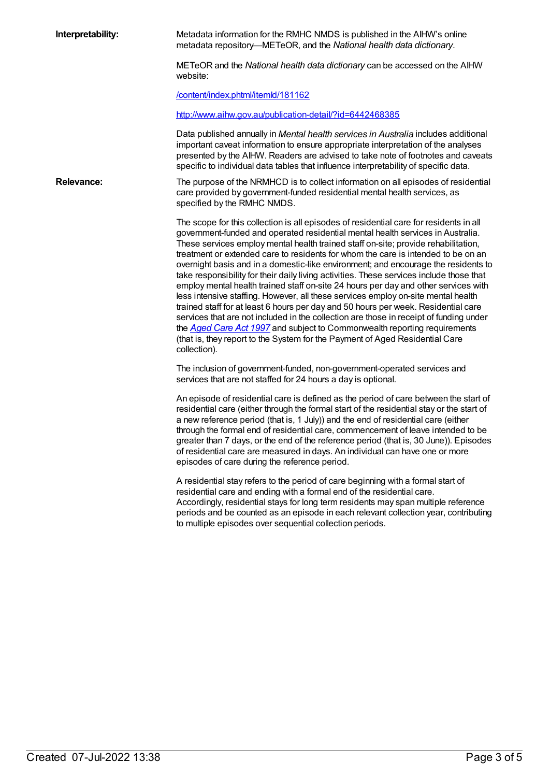**Interpretability:** Metadata information for the RMHC NMDS is published in the AIHW's online metadata repository—METeOR, and the *National health data dictionary*.

> METeOR and the *National health data dictionary* can be accessed on the AIHW website:

[/content/index.phtml/itemId/181162](file:///content/181162)

<http://www.aihw.gov.au/publication-detail/?id=6442468385>

Data published annually in *Mental health services in Australia* includes additional important caveat information to ensure appropriate interpretation of the analyses presented by the AIHW. Readers are advised to take note of footnotes and caveats specific to individual data tables that influence interpretability of specific data.

**Relevance:** The purpose of the NRMHCD is to collect information on all episodes of residential care provided by government-funded residential mental health services, as specified by the RMHC NMDS.

> The scope for this collection is all episodes of residential care for residents in all government-funded and operated residential mental health services in Australia. These services employ mental health trained staff on-site; provide rehabilitation, treatment or extended care to residents for whom the care is intended to be on an overnight basis and in a domestic-like environment; and encourage the residents to take responsibility for their daily living activities. These services include those that employ mental health trained staff on-site 24 hours per day and other services with less intensive staffing. However, all these services employ on-site mental health trained staff for at least 6 hours per day and 50 hours per week. Residential care services that are not included in the collection are those in receipt of funding under the *[Aged](http://www.comlaw.gov.au/Details/C2012C00573) Care Act 1997* and subject to Commonwealth reporting requirements (that is, they report to the System for the Payment of Aged Residential Care collection).

The inclusion of government-funded, non-government-operated services and services that are not staffed for 24 hours a day is optional.

An episode of residential care is defined as the period of care between the start of residential care (either through the formal start of the residential stay or the start of a new reference period (that is, 1 July)) and the end of residential care (either through the formal end of residential care, commencement of leave intended to be greater than 7 days, or the end of the reference period (that is, 30 June)). Episodes of residential care are measured in days. An individual can have one or more episodes of care during the reference period.

A residential stay refers to the period of care beginning with a formal start of residential care and ending with a formal end of the residential care. Accordingly, residential stays for long term residents may span multiple reference periods and be counted as an episode in each relevant collection year, contributing to multiple episodes over sequential collection periods.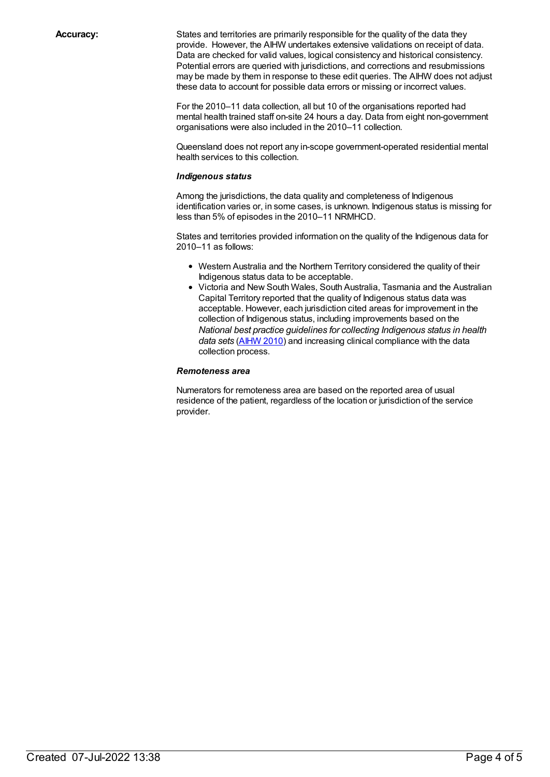**Accuracy:** States and territories are primarily responsible for the quality of the data they provide. However, the AIHW undertakes extensive validations on receipt of data. Data are checked for valid values, logical consistency and historical consistency. Potential errors are queried with jurisdictions, and corrections and resubmissions may be made by them in response to these edit queries. The AIHW does not adjust these data to account for possible data errors or missing or incorrect values.

> For the 2010–11 data collection, all but 10 of the organisations reported had mental health trained staff on-site 24 hours a day. Data from eight non-government organisations were also included in the 2010–11 collection.

> Queensland does not report any in-scope government-operated residential mental health services to this collection.

#### *Indigenous status*

Among the jurisdictions, the data quality and completeness of Indigenous identification varies or, in some cases, is unknown. Indigenous status is missing for less than 5% of episodes in the 2010–11 NRMHCD.

States and territories provided information on the quality of the Indigenous data for 2010–11 as follows:

- Western Australia and the Northern Territory considered the quality of their Indigenous status data to be acceptable.
- Victoria and New South Wales, South Australia, Tasmania and the Australian Capital Territory reported that the quality of Indigenous status data was acceptable. However, each jurisdiction cited areas for improvement in the collection of Indigenous status, including improvements based on the *National best practice guidelines for collecting Indigenous status in health data sets* [\(AIHW](http://www.aihw.gov.au/WorkArea/DownloadAsset.aspx?id=6442458760) 2010) and increasing clinical compliance with the data collection process.

#### *Remoteness area*

Numerators for remoteness area are based on the reported area of usual residence of the patient, regardless of the location or jurisdiction of the service provider.